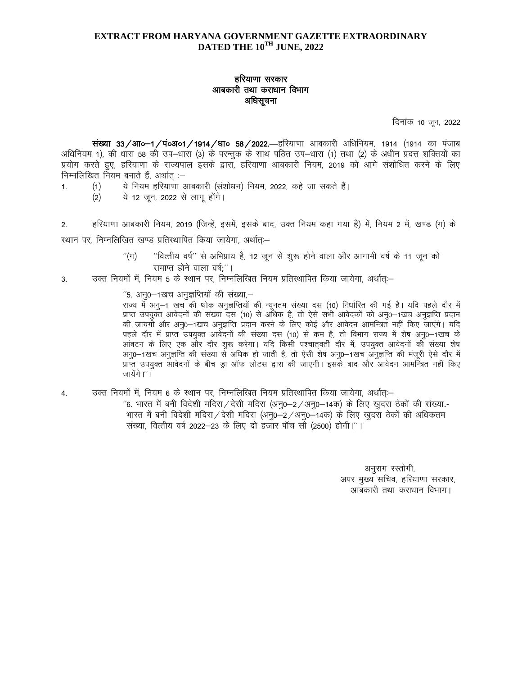## **EXTRACT FROM HARYANA GOVERNMENT GAZETTE EXTRAORDINARY** DATED THE 10<sup>TH</sup> JUNE, 2022

## हरियाणा सरकार आबकारी तथा कराधान विभाग अधिसूचना

दिनांक 10 जून, 2022

संख्या 33/आ०–1/पं०अ०1/1914/धा० 58/2022—हरियाणा आबकारी अधिनियम, 1914 (1914 का पंजाब अधिनियम 1), की धारा 58 की उप–धारा (3) के परन्तुक के साथ पठित उप–धारा (1) तथा (2) के अधीन प्रदत्त शक्तियों का प्रयोग करते हुए, हरियाणा के राज्यपाल इसके द्वारा, हरियाणा आबकारी नियम, 2019 को आगे संशोधित करने के लिए निम्नलिखित नियम बनाते हैं. अर्थात :-

- ये नियम हरियाणा आबकारी (संशोधन) नियम, 2022, कहे जा सकते हैं।  $(1)$  $1.$ 
	- ये 12 जून, 2022 से लागू होंगे।  $(2)$
- $2.$ हरियाणा आबकारी नियम, 2019 (जिन्हें, इसमें, इसके बाद, उक्त नियम कहा गया है) में, नियम 2 में, खण्ड (ग) के

स्थान पर, निम्नलिखित खण्ड प्रतिस्थापित किया जायेगा, अर्थातः-

- $"(\pi)$ ''वित्तीय वर्ष'' से अभिप्राय है, 12 जून से शुरू होने वाला और आगामी वर्ष के 11 जून को समाप्त होने वाला वर्ष:"।
- उक्त नियमों में, नियम 5 के स्थान पर, निम्नलिखित नियम प्रतिस्थापित किया जायेगा, अर्थात् :-3.

''5. अन्0–1खच अनुज्ञप्तियों की संख्या,–

राज्य में अनु–1 खच की थोक अनुज्ञप्तियों की न्यूनतम संख्या दस (10) निर्धारित की गई है। यदि पहले दौर में प्राप्त उपयुक्त आवेदनों की संख्या दस (10) से अधिक है, तो ऐसे सभी आवेदकों को अनु0-1खच अनुज्ञप्ति प्रदान की जायगी और अनू0–1खच अनुज्ञप्ति प्रदान करने के लिए कोई और आवेदन आमन्त्रित नहीं किए जाएंगे। यदि पहले दौर में प्राप्त उपयुक्त आर्वेदनों की संख्या दस (10) से कम है, तो विभाग राज्य में शेष अनु0-1खच के आंबटन के लिए एक और दौर शुरू करेगा। यदि किसी पश्चातवर्ती दौर में, उपयुक्त आवेदनों की संख्या शेष अनृ0—1खच अनुज्ञप्ति की संख्या से अधिक हो जाती है, तो ऐसी शेष अनृ0—1खच अनुज्ञप्ति की मंजुरी ऐसे दौर में प्राप्त उपयुक्त आवेदनों के बीच ड्रा ऑफ लोटस द्वारा की जाएगी। इसके बाद और आवेदन आमन्त्रित नहीं किए जायेंगे।''।

उक्त नियमों में, नियम 6 के स्थान पर, निम्नलिखित नियम प्रतिस्थापित किया जायेगा, अर्थातः–  $\overline{4}$ .

> "6. भारत में बनी विदेशी मदिरा / देसी मदिरा (अन्0-2 / अन्0-14क) के लिए खुदरा ठेकों की संख्या.-भारत में बनी विदेशी मदिरा / देसी मदिरा (अनु0-2 / अनु0-14क) के लिए खुदरा ठेकों की अधिकतम संख्या, वित्तीय वर्ष 2022–23 के लिए दो हजार पॉच सौ (2500) होगी।''।

> > अनुराग रस्तोगी, अपर मुख्य सचिव, हरियाणा सरकार, आबकारी तथा कराधान विभाग।